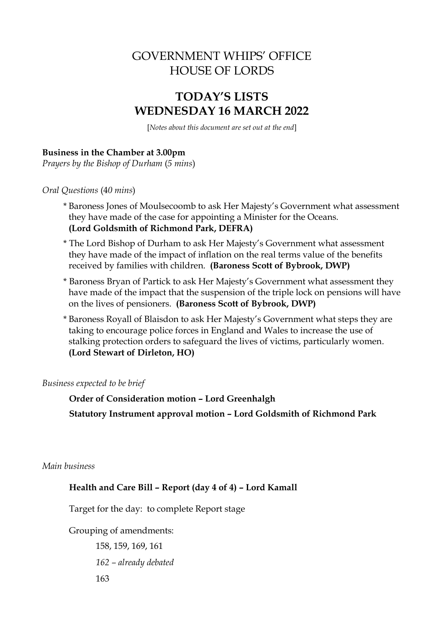# GOVERNMENT WHIPS' OFFICE HOUSE OF LORDS

# **TODAY'S LISTS WEDNESDAY 16 MARCH 2022**

[*Notes about this document are set out at the end*]

### **Business in the Chamber at 3.00pm**

*Prayers by the Bishop of Durham* (*5 mins*)

*Oral Questions* (4*0 mins*)

- \* Baroness Jones of Moulsecoomb to ask Her Majesty's Government what assessment they have made of the case for appointing a Minister for the Oceans. **(Lord Goldsmith of Richmond Park, DEFRA)**
- \* The Lord Bishop of Durham to ask Her Majesty's Government what assessment they have made of the impact of inflation on the real terms value of the benefits received by families with children. **(Baroness Scott of Bybrook, DWP)**
- \* Baroness Bryan of Partick to ask Her Majesty's Government what assessment they have made of the impact that the suspension of the triple lock on pensions will have on the lives of pensioners. **(Baroness Scott of Bybrook, DWP)**
- \* Baroness Royall of Blaisdon to ask Her Majesty's Government what steps they are taking to encourage police forces in England and Wales to increase the use of stalking protection orders to safeguard the lives of victims, particularly women. **(Lord Stewart of Dirleton, HO)**

*Business expected to be brief*

**Order of Consideration motion – Lord Greenhalgh Statutory Instrument approval motion – Lord Goldsmith of Richmond Park**

*Main business*

### **Health and Care Bill – Report (day 4 of 4) – Lord Kamall**

Target for the day: to complete Report stage

Grouping of amendments:

158, 159, 169, 161 *162 – already debated*  163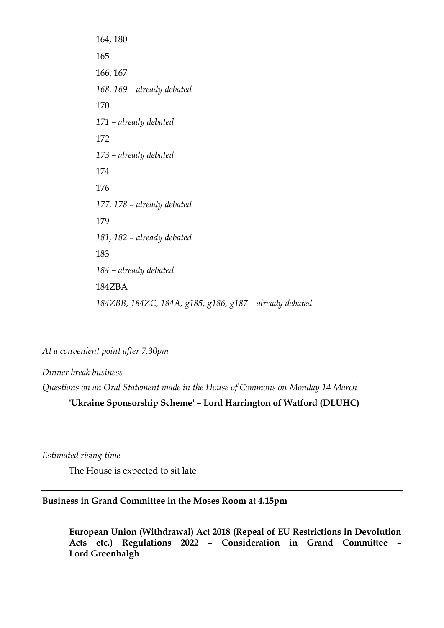164, 180 165 166, 167 *168, 169 – already debated*  170 *171 – already debated* 172 *173 – already debated*  174 176 *177, 178 – already debated*  179 *181, 182 – already debated*  183 *184 – already debated* 184ZBA *184ZBB, 184ZC, 184A, g185, g186, g187 – already debated*

*At a convenient point after 7.30pm*

*Dinner break business Questions on an Oral Statement made in the House of Commons on Monday 14 March*

**'Ukraine Sponsorship Scheme' – Lord Harrington of Watford (DLUHC)**

*Estimated rising time* 

The House is expected to sit late

#### **Business in Grand Committee in the Moses Room at 4.15pm**

**European Union (Withdrawal) Act 2018 (Repeal of EU Restrictions in Devolution Acts etc.) Regulations 2022 – Consideration in Grand Committee – Lord Greenhalgh**